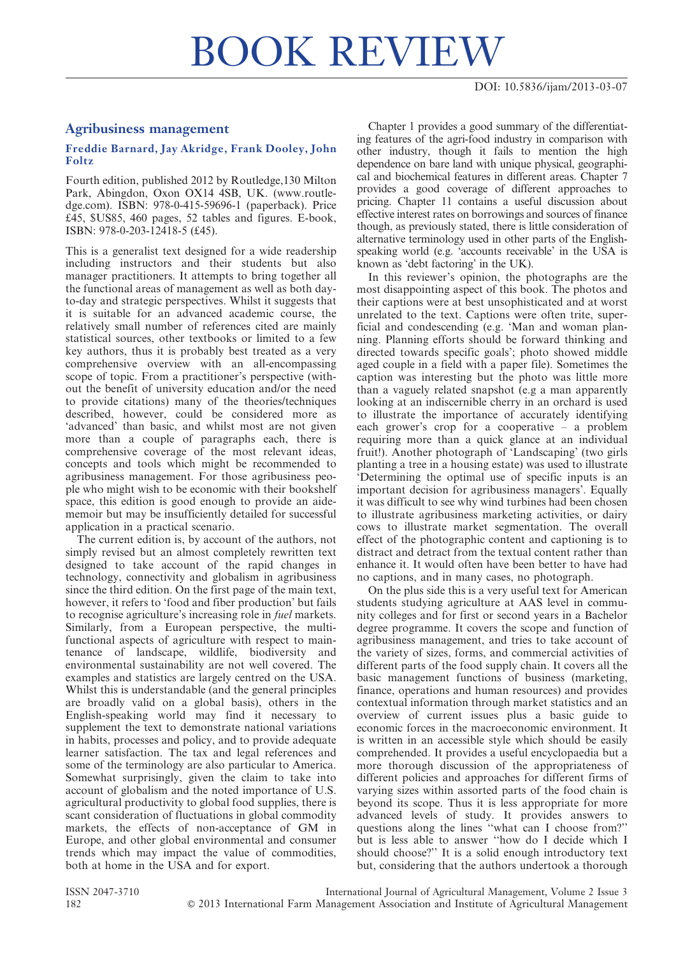## Agribusiness management

## Freddie Barnard, Jay Akridge, Frank Dooley, John Foltz

Fourth edition, published 2012 by Routledge,130 Milton Park, Abingdon, Oxon OX14 4SB, UK. (www.routledge.com). ISBN: 978-0-415-59696-1 (paperback). Price £45, \$US85, 460 pages, 52 tables and figures. E-book, ISBN: 978-0-203-12418-5 (£45).

This is a generalist text designed for a wide readership including instructors and their students but also manager practitioners. It attempts to bring together all the functional areas of management as well as both dayto-day and strategic perspectives. Whilst it suggests that it is suitable for an advanced academic course, the relatively small number of references cited are mainly statistical sources, other textbooks or limited to a few key authors, thus it is probably best treated as a very comprehensive overview with an all-encompassing scope of topic. From a practitioner's perspective (without the benefit of university education and/or the need to provide citations) many of the theories/techniques described, however, could be considered more as 'advanced' than basic, and whilst most are not given more than a couple of paragraphs each, there is comprehensive coverage of the most relevant ideas, concepts and tools which might be recommended to agribusiness management. For those agribusiness people who might wish to be economic with their bookshelf space, this edition is good enough to provide an aidememoir but may be insufficiently detailed for successful application in a practical scenario.

The current edition is, by account of the authors, not simply revised but an almost completely rewritten text designed to take account of the rapid changes in technology, connectivity and globalism in agribusiness since the third edition. On the first page of the main text, however, it refers to 'food and fiber production' but fails to recognise agriculture's increasing role in fuel markets. Similarly, from a European perspective, the multifunctional aspects of agriculture with respect to maintenance of landscape, wildlife, biodiversity and environmental sustainability are not well covered. The examples and statistics are largely centred on the USA. Whilst this is understandable (and the general principles are broadly valid on a global basis), others in the English-speaking world may find it necessary to supplement the text to demonstrate national variations in habits, processes and policy, and to provide adequate learner satisfaction. The tax and legal references and some of the terminology are also particular to America. Somewhat surprisingly, given the claim to take into account of globalism and the noted importance of U.S. agricultural productivity to global food supplies, there is scant consideration of fluctuations in global commodity markets, the effects of non-acceptance of GM in Europe, and other global environmental and consumer trends which may impact the value of commodities, both at home in the USA and for export.

Chapter 1 provides a good summary of the differentiating features of the agri-food industry in comparison with other industry, though it fails to mention the high dependence on bare land with unique physical, geographical and biochemical features in different areas. Chapter 7 provides a good coverage of different approaches to pricing. Chapter 11 contains a useful discussion about effective interest rates on borrowings and sources of finance though, as previously stated, there is little consideration of alternative terminology used in other parts of the Englishspeaking world (e.g. 'accounts receivable' in the USA is known as 'debt factoring' in the UK).

In this reviewer's opinion, the photographs are the most disappointing aspect of this book. The photos and their captions were at best unsophisticated and at worst unrelated to the text. Captions were often trite, superficial and condescending (e.g. 'Man and woman planning. Planning efforts should be forward thinking and directed towards specific goals'; photo showed middle aged couple in a field with a paper file). Sometimes the caption was interesting but the photo was little more than a vaguely related snapshot (e.g a man apparently looking at an indiscernible cherry in an orchard is used to illustrate the importance of accurately identifying each grower's crop for a cooperative – a problem requiring more than a quick glance at an individual fruit!). Another photograph of 'Landscaping' (two girls planting a tree in a housing estate) was used to illustrate 'Determining the optimal use of specific inputs is an important decision for agribusiness managers'. Equally it was difficult to see why wind turbines had been chosen to illustrate agribusiness marketing activities, or dairy cows to illustrate market segmentation. The overall effect of the photographic content and captioning is to distract and detract from the textual content rather than enhance it. It would often have been better to have had no captions, and in many cases, no photograph.

On the plus side this is a very useful text for American students studying agriculture at AAS level in community colleges and for first or second years in a Bachelor degree programme. It covers the scope and function of agribusiness management, and tries to take account of the variety of sizes, forms, and commercial activities of different parts of the food supply chain. It covers all the basic management functions of business (marketing, finance, operations and human resources) and provides contextual information through market statistics and an overview of current issues plus a basic guide to economic forces in the macroeconomic environment. It is written in an accessible style which should be easily comprehended. It provides a useful encyclopaedia but a more thorough discussion of the appropriateness of different policies and approaches for different firms of varying sizes within assorted parts of the food chain is beyond its scope. Thus it is less appropriate for more advanced levels of study. It provides answers to questions along the lines ''what can I choose from?'' but is less able to answer ''how do I decide which I should choose?'' It is a solid enough introductory text but, considering that the authors undertook a thorough